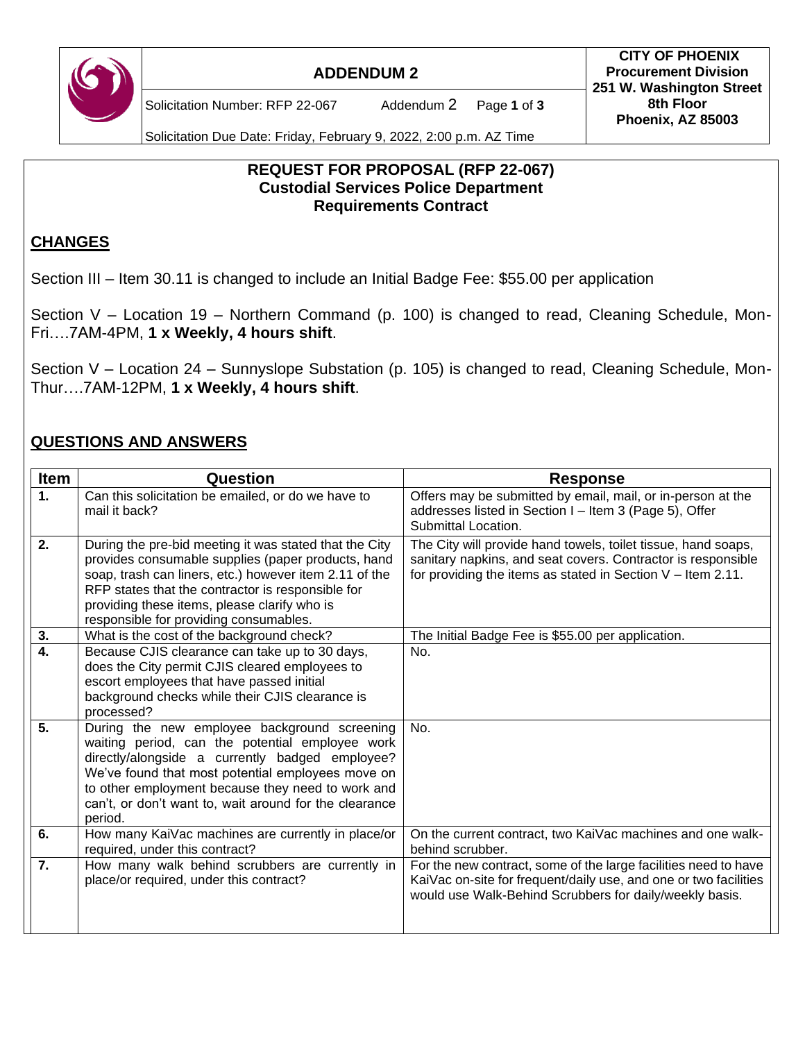

### **ADDENDUM 2**

Solicitation Number: RFP 22-067 Addendum 2 Page **1** of **3**

Solicitation Due Date: Friday, February 9, 2022, 2:00 p.m. AZ Time

### **REQUEST FOR PROPOSAL (RFP 22-067) Custodial Services Police Department Requirements Contract**

# **CHANGES**

Section III – Item 30.11 is changed to include an Initial Badge Fee: \$55.00 per application

Section V – Location 19 – Northern Command (p. 100) is changed to read, Cleaning Schedule, Mon-Fri….7AM-4PM, **1 x Weekly, 4 hours shift**.

Section V – Location 24 – Sunnyslope Substation (p. 105) is changed to read, Cleaning Schedule, Mon-Thur….7AM-12PM, **1 x Weekly, 4 hours shift**.

### **QUESTIONS AND ANSWERS**

| Item             | Question                                                                                                                                                                                                                                                                                                                          | <b>Response</b>                                                                                                                                                                                |
|------------------|-----------------------------------------------------------------------------------------------------------------------------------------------------------------------------------------------------------------------------------------------------------------------------------------------------------------------------------|------------------------------------------------------------------------------------------------------------------------------------------------------------------------------------------------|
| 1.               | Can this solicitation be emailed, or do we have to<br>mail it back?                                                                                                                                                                                                                                                               | Offers may be submitted by email, mail, or in-person at the<br>addresses listed in Section I - Item 3 (Page 5), Offer<br>Submittal Location.                                                   |
| 2.               | During the pre-bid meeting it was stated that the City<br>provides consumable supplies (paper products, hand<br>soap, trash can liners, etc.) however item 2.11 of the<br>RFP states that the contractor is responsible for<br>providing these items, please clarify who is<br>responsible for providing consumables.             | The City will provide hand towels, toilet tissue, hand soaps,<br>sanitary napkins, and seat covers. Contractor is responsible<br>for providing the items as stated in Section $V -$ Item 2.11. |
| 3.               | What is the cost of the background check?                                                                                                                                                                                                                                                                                         | The Initial Badge Fee is \$55.00 per application.                                                                                                                                              |
| $\overline{4}$ . | Because CJIS clearance can take up to 30 days,<br>does the City permit CJIS cleared employees to<br>escort employees that have passed initial<br>background checks while their CJIS clearance is<br>processed?                                                                                                                    | No.                                                                                                                                                                                            |
| 5.               | During the new employee background screening<br>waiting period, can the potential employee work<br>directly/alongside a currently badged employee?<br>We've found that most potential employees move on<br>to other employment because they need to work and<br>can't, or don't want to, wait around for the clearance<br>period. | No.                                                                                                                                                                                            |
| 6.               | How many KaiVac machines are currently in place/or<br>required, under this contract?                                                                                                                                                                                                                                              | On the current contract, two KaiVac machines and one walk-<br>behind scrubber.                                                                                                                 |
| 7.               | How many walk behind scrubbers are currently in<br>place/or required, under this contract?                                                                                                                                                                                                                                        | For the new contract, some of the large facilities need to have<br>KaiVac on-site for frequent/daily use, and one or two facilities<br>would use Walk-Behind Scrubbers for daily/weekly basis. |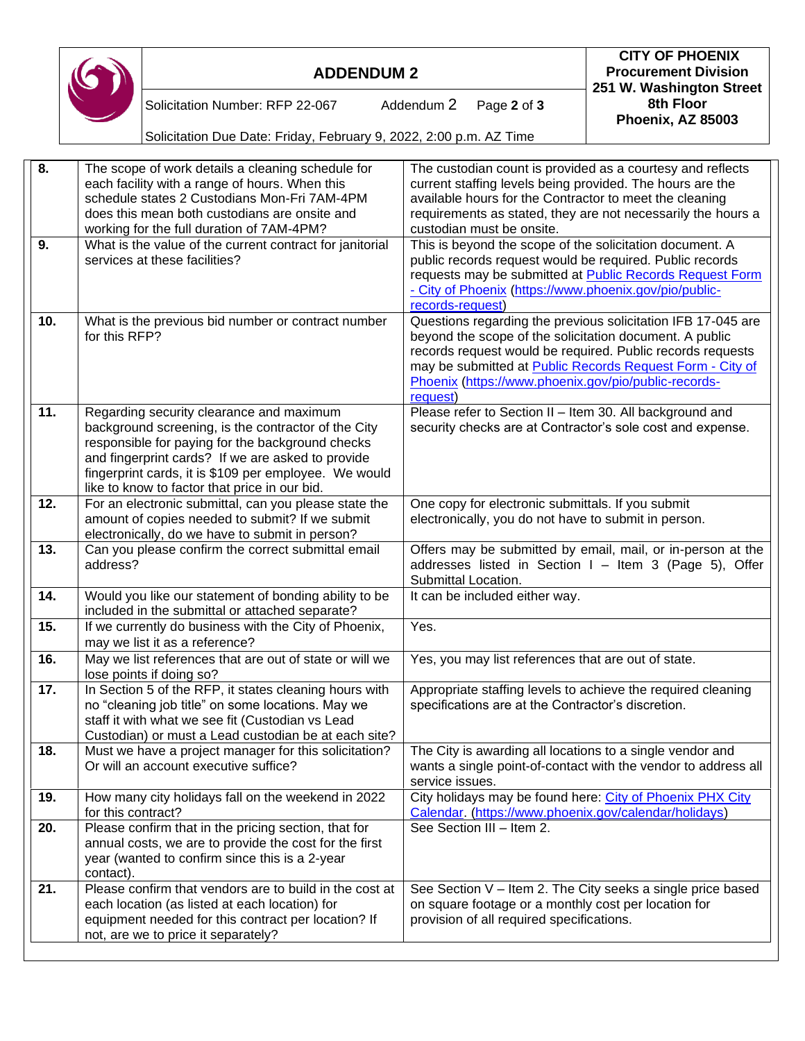|                           |                                                                                                     |                                                                                                          |                                                                                                                         | 251 W. Washington Street                                    |  |  |  |
|---------------------------|-----------------------------------------------------------------------------------------------------|----------------------------------------------------------------------------------------------------------|-------------------------------------------------------------------------------------------------------------------------|-------------------------------------------------------------|--|--|--|
|                           |                                                                                                     | Solicitation Number: RFP 22-067<br>Addendum 2<br>Page 2 of 3                                             |                                                                                                                         | 8th Floor<br>Phoenix, AZ 85003                              |  |  |  |
|                           |                                                                                                     | Solicitation Due Date: Friday, February 9, 2022, 2:00 p.m. AZ Time                                       |                                                                                                                         |                                                             |  |  |  |
| $\overline{\mathbf{8}}$ . |                                                                                                     |                                                                                                          |                                                                                                                         |                                                             |  |  |  |
|                           | The scope of work details a cleaning schedule for<br>each facility with a range of hours. When this |                                                                                                          | The custodian count is provided as a courtesy and reflects<br>current staffing levels being provided. The hours are the |                                                             |  |  |  |
|                           |                                                                                                     | schedule states 2 Custodians Mon-Fri 7AM-4PM                                                             | available hours for the Contractor to meet the cleaning                                                                 |                                                             |  |  |  |
|                           |                                                                                                     | does this mean both custodians are onsite and                                                            | requirements as stated, they are not necessarily the hours a                                                            |                                                             |  |  |  |
|                           |                                                                                                     | working for the full duration of 7AM-4PM?                                                                | custodian must be onsite.                                                                                               |                                                             |  |  |  |
| $\overline{9}$ .          |                                                                                                     | What is the value of the current contract for janitorial                                                 | This is beyond the scope of the solicitation document. A                                                                |                                                             |  |  |  |
|                           |                                                                                                     | services at these facilities?                                                                            | public records request would be required. Public records                                                                |                                                             |  |  |  |
|                           |                                                                                                     |                                                                                                          | requests may be submitted at Public Records Request Form                                                                |                                                             |  |  |  |
|                           |                                                                                                     |                                                                                                          | - City of Phoenix (https://www.phoenix.gov/pio/public-<br>records-request)                                              |                                                             |  |  |  |
| 10.                       |                                                                                                     | What is the previous bid number or contract number                                                       | Questions regarding the previous solicitation IFB 17-045 are                                                            |                                                             |  |  |  |
|                           | for this RFP?                                                                                       |                                                                                                          | beyond the scope of the solicitation document. A public                                                                 |                                                             |  |  |  |
|                           |                                                                                                     |                                                                                                          | records request would be required. Public records requests                                                              |                                                             |  |  |  |
|                           |                                                                                                     |                                                                                                          | may be submitted at <b>Public Records Request Form - City of</b>                                                        |                                                             |  |  |  |
|                           |                                                                                                     |                                                                                                          | Phoenix (https://www.phoenix.gov/pio/public-records-                                                                    |                                                             |  |  |  |
|                           |                                                                                                     |                                                                                                          | request)                                                                                                                |                                                             |  |  |  |
| 11.                       |                                                                                                     | Regarding security clearance and maximum                                                                 | Please refer to Section II - Item 30. All background and<br>security checks are at Contractor's sole cost and expense.  |                                                             |  |  |  |
|                           |                                                                                                     | background screening, is the contractor of the City<br>responsible for paying for the background checks  |                                                                                                                         |                                                             |  |  |  |
|                           |                                                                                                     | and fingerprint cards? If we are asked to provide                                                        |                                                                                                                         |                                                             |  |  |  |
|                           |                                                                                                     | fingerprint cards, it is \$109 per employee. We would                                                    |                                                                                                                         |                                                             |  |  |  |
|                           |                                                                                                     | like to know to factor that price in our bid.                                                            |                                                                                                                         |                                                             |  |  |  |
| $\overline{12}$ .         |                                                                                                     | For an electronic submittal, can you please state the                                                    | One copy for electronic submittals. If you submit                                                                       |                                                             |  |  |  |
|                           |                                                                                                     | amount of copies needed to submit? If we submit                                                          | electronically, you do not have to submit in person.                                                                    |                                                             |  |  |  |
|                           |                                                                                                     | electronically, do we have to submit in person?                                                          |                                                                                                                         |                                                             |  |  |  |
| 13.                       |                                                                                                     | Can you please confirm the correct submittal email                                                       |                                                                                                                         | Offers may be submitted by email, mail, or in-person at the |  |  |  |
|                           | address?                                                                                            |                                                                                                          | Submittal Location.                                                                                                     | addresses listed in Section I - Item 3 (Page 5), Offer      |  |  |  |
| 14.                       |                                                                                                     | Would you like our statement of bonding ability to be                                                    | It can be included either way.                                                                                          |                                                             |  |  |  |
|                           |                                                                                                     | included in the submittal or attached separate?                                                          |                                                                                                                         |                                                             |  |  |  |
| 15.                       |                                                                                                     | If we currently do business with the City of Phoenix,                                                    | Yes.                                                                                                                    |                                                             |  |  |  |
|                           |                                                                                                     | may we list it as a reference?                                                                           |                                                                                                                         |                                                             |  |  |  |
| 16.                       |                                                                                                     | May we list references that are out of state or will we                                                  | Yes, you may list references that are out of state.                                                                     |                                                             |  |  |  |
|                           |                                                                                                     | lose points if doing so?                                                                                 |                                                                                                                         |                                                             |  |  |  |
| 17.                       |                                                                                                     | In Section 5 of the RFP, it states cleaning hours with                                                   | Appropriate staffing levels to achieve the required cleaning                                                            |                                                             |  |  |  |
|                           |                                                                                                     | no "cleaning job title" on some locations. May we                                                        | specifications are at the Contractor's discretion.                                                                      |                                                             |  |  |  |
|                           |                                                                                                     | staff it with what we see fit (Custodian vs Lead<br>Custodian) or must a Lead custodian be at each site? |                                                                                                                         |                                                             |  |  |  |
| 18.                       |                                                                                                     | Must we have a project manager for this solicitation?                                                    | The City is awarding all locations to a single vendor and                                                               |                                                             |  |  |  |
|                           |                                                                                                     | Or will an account executive suffice?                                                                    | wants a single point-of-contact with the vendor to address all                                                          |                                                             |  |  |  |
|                           |                                                                                                     |                                                                                                          | service issues.                                                                                                         |                                                             |  |  |  |
| 19.                       |                                                                                                     | How many city holidays fall on the weekend in 2022                                                       | City holidays may be found here: City of Phoenix PHX City                                                               |                                                             |  |  |  |
|                           | for this contract?                                                                                  |                                                                                                          | Calendar (https://www.phoenix.gov/calendar/holidays)                                                                    |                                                             |  |  |  |

See Section III – Item 2.

See Section V – Item 2. The City seeks a single price based

on square footage or a monthly cost per location for

provision of all required specifications.

**20.** Please confirm that in the pricing section, that for

**21.** Please confirm that vendors are to build in the cost at each location (as listed at each location) for equipment needed for this contract per location? If

not, are we to price it separately?

contact).

 $\sqrt{2}$ 

annual costs, we are to provide the cost for the first year (wanted to confirm since this is a 2-year

**ADDENDUM 2**

**CITY OF PHOENIX Procurement Division**